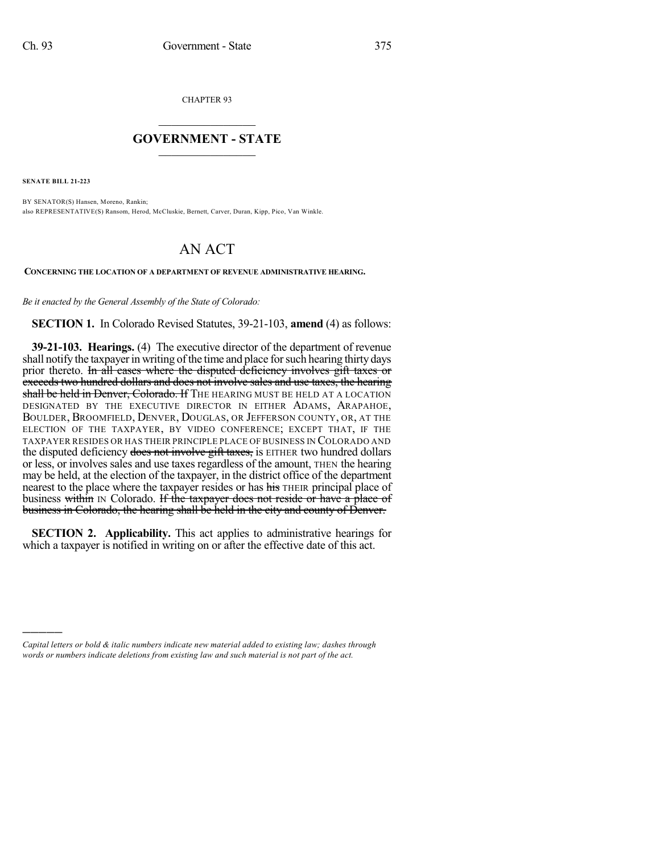CHAPTER 93

## $\mathcal{L}_\text{max}$  . The set of the set of the set of the set of the set of the set of the set of the set of the set of the set of the set of the set of the set of the set of the set of the set of the set of the set of the set **GOVERNMENT - STATE**  $\_$   $\_$

**SENATE BILL 21-223**

)))))

BY SENATOR(S) Hansen, Moreno, Rankin; also REPRESENTATIVE(S) Ransom, Herod, McCluskie, Bernett, Carver, Duran, Kipp, Pico, Van Winkle.

## AN ACT

**CONCERNING THE LOCATION OF A DEPARTMENT OF REVENUE ADMINISTRATIVE HEARING.**

*Be it enacted by the General Assembly of the State of Colorado:*

**SECTION 1.** In Colorado Revised Statutes, 39-21-103, **amend** (4) as follows:

**39-21-103. Hearings.** (4) The executive director of the department of revenue shall notify the taxpayer in writing of the time and place for such hearing thirty days prior thereto. In all cases where the disputed deficiency involves gift taxes or exceeds two hundred dollars and does not involve sales and use taxes, the hearing shall be held in Denver, Colorado. If THE HEARING MUST BE HELD AT A LOCATION DESIGNATED BY THE EXECUTIVE DIRECTOR IN EITHER ADAMS, ARAPAHOE, BOULDER, BROOMFIELD, DENVER, DOUGLAS, OR JEFFERSON COUNTY, OR, AT THE ELECTION OF THE TAXPAYER, BY VIDEO CONFERENCE; EXCEPT THAT, IF THE TAXPAYER RESIDES OR HAS THEIR PRINCIPLE PLACE OF BUSINESS IN COLORADO AND the disputed deficiency does not involve gift taxes, is EITHER two hundred dollars or less, or involves sales and use taxes regardless of the amount, THEN the hearing may be held, at the election of the taxpayer, in the district office of the department nearest to the place where the taxpayer resides or has his THEIR principal place of business within IN Colorado. If the taxpayer does not reside or have a place of business in Colorado, the hearing shall be held in the city and county of Denver.

**SECTION 2. Applicability.** This act applies to administrative hearings for which a taxpayer is notified in writing on or after the effective date of this act.

*Capital letters or bold & italic numbers indicate new material added to existing law; dashes through words or numbers indicate deletions from existing law and such material is not part of the act.*